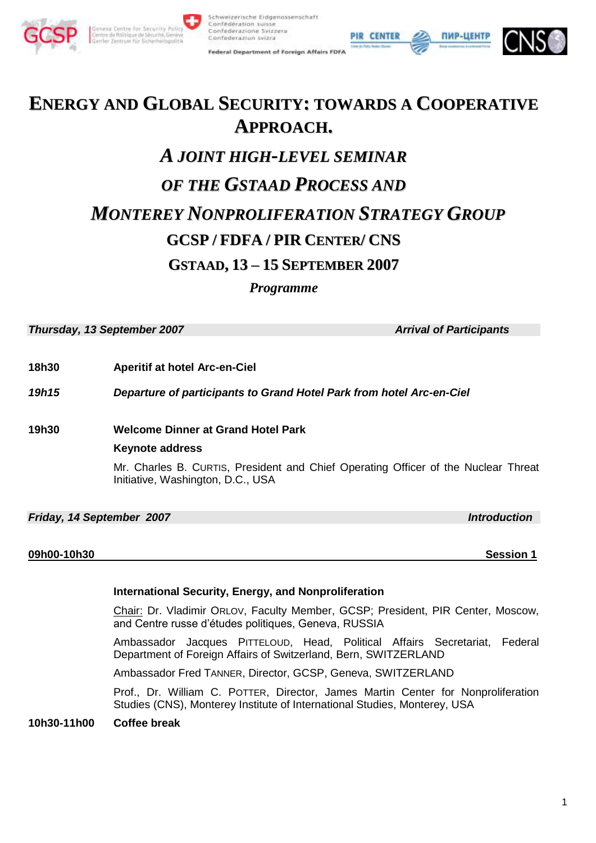



Federal Department of Foreign Affairs FDFA

ĺ





# **ENERGY AND GLOBAL SECURITY: TOWARDS A COOPERATIVE APPROACH.** *A JOINT HIGH-LEVEL SEMINAR OF THE GSTAAD PROCESS AND MONTEREY NONPROLIFERATION STRATEGY GROUP* **GCSP / FDFA / PIR CENTER/ CNS GSTAAD, 13 – 15 SEPTEMBER 2007**

*Programme*

*Thursday, 13 September 2007* Arrival of Participants

**18h30 Aperitif at hotel Arc-en-Ciel**

*19h15 Departure of participants to Grand Hotel Park from hotel Arc-en-Ciel* 

**19h30 Welcome Dinner at Grand Hotel Park**

# **Keynote address**

Mr. Charles B. CURTIS, President and Chief Operating Officer of the Nuclear Threat Initiative, Washington, D.C., USA

# *Friday, 14 September 2007* Introduction *Introduction*

## **09h00-10h30 Session 1**

## **International Security, Energy, and Nonproliferation**

Chair: Dr. Vladimir ORLOV, Faculty Member, GCSP; President, PIR Center, Moscow, and Centre russe d'études politiques, Geneva, RUSSIA

Ambassador Jacques PITTELOUD, Head, Political Affairs Secretariat, Federal Department of Foreign Affairs of Switzerland, Bern, SWITZERLAND

Ambassador Fred TANNER, Director, GCSP, Geneva, SWITZERLAND

Prof., Dr. William C. POTTER, Director, James Martin Center for Nonproliferation Studies (CNS), Monterey Institute of International Studies, Monterey, USA

**10h30-11h00 Coffee break**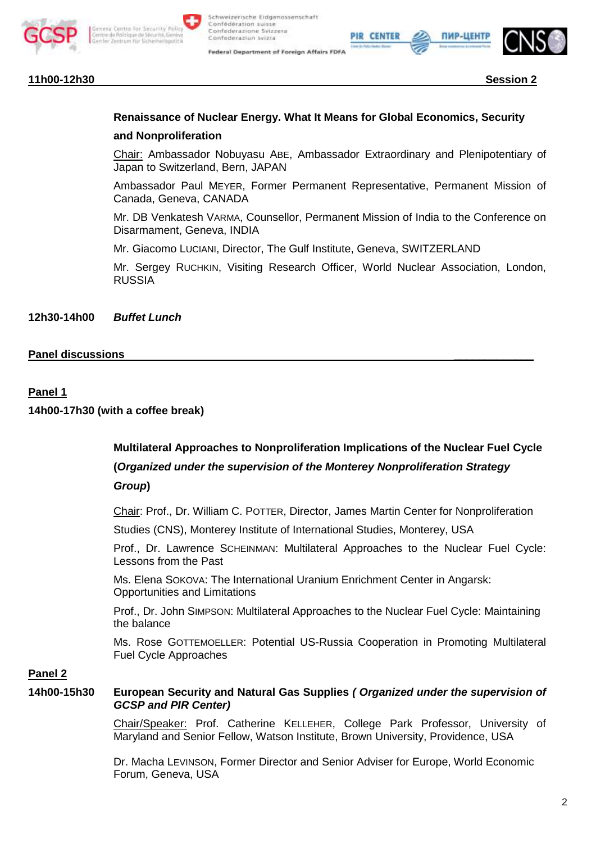

Schweizerische Eidgenossenschaft Confédération suisse Confederazione Svizzera Confederazion svizra

Federal Department of Foreign Affairs FDFA



# **Renaissance of Nuclear Energy. What It Means for Global Economics, Security**

## **and Nonproliferation**

Chair: Ambassador Nobuyasu ABE, Ambassador Extraordinary and Plenipotentiary of Japan to Switzerland, Bern, JAPAN

ĺ

PIR CENTER

Ambassador Paul MEYER, Former Permanent Representative, Permanent Mission of Canada, Geneva, CANADA

Mr. DB Venkatesh VARMA, Counsellor, Permanent Mission of India to the Conference on Disarmament, Geneva, INDIA

Mr. Giacomo LUCIANI, Director, The Gulf Institute, Geneva, SWITZERLAND

Mr. Sergey RUCHKIN, Visiting Research Officer, World Nuclear Association, London, RUSSIA

**12h30-14h00** *Buffet Lunch*

# **Panel discussions** \_\_\_\_\_\_\_\_\_\_\_\_\_

## **Panel 1**

**14h00-17h30 (with a coffee break)**

**Multilateral Approaches to Nonproliferation Implications of the Nuclear Fuel Cycle (***Organized under the supervision of the Monterey Nonproliferation Strategy Group***)**

Chair: Prof., Dr. William C. POTTER, Director, James Martin Center for Nonproliferation

Studies (CNS), Monterey Institute of International Studies, Monterey, USA

Prof., Dr. Lawrence SCHEINMAN: Multilateral Approaches to the Nuclear Fuel Cycle: Lessons from the Past

Ms. Elena SOKOVA: The International Uranium Enrichment Center in Angarsk: Opportunities and Limitations

Prof., Dr. John SIMPSON: Multilateral Approaches to the Nuclear Fuel Cycle: Maintaining the balance

Ms. Rose GOTTEMOELLER: Potential US-Russia Cooperation in Promoting Multilateral Fuel Cycle Approaches

# **Panel 2**

**14h00-15h30 European Security and Natural Gas Supplies** *( Organized under the supervision of GCSP and PIR Center)*

> Chair/Speaker: Prof. Catherine KELLEHER, College Park Professor, University of Maryland and Senior Fellow, Watson Institute, Brown University, Providence, USA

Dr. Macha LEVINSON, Former Director and Senior Adviser for Europe, World Economic Forum, Geneva, USA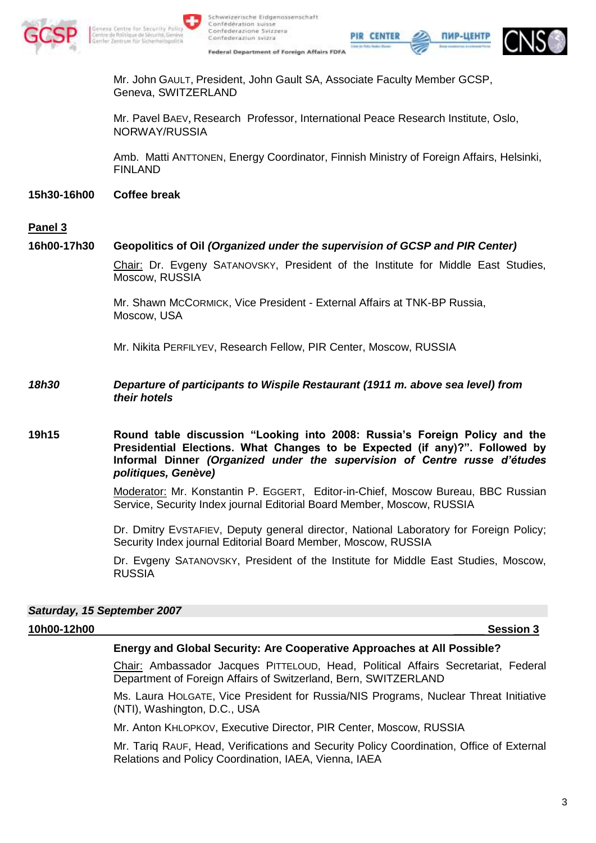

Schweizerische Eidgenossenschaft

Confédération suisse

Confederaziun svizra

Confederazione Svizzera



ПИР-ЦЕН'

Mr. John GAULT, President, John Gault SA, Associate Faculty Member GCSP, Geneva, SWITZERLAND

Mr. Pavel BAEV, Research Professor, International Peace Research Institute, Oslo, NORWAY/RUSSIA

Amb. Matti ANTTONEN, Energy Coordinator, Finnish Ministry of Foreign Affairs, Helsinki, FINLAND

ĺ

PIR CENTER

**15h30-16h00 Coffee break**

## **Panel 3**

## **16h00-17h30 Geopolitics of Oil** *(Organized under the supervision of GCSP and PIR Center)*

Chair: Dr. Evgeny SATANOVSKY, President of the Institute for Middle East Studies, Moscow, RUSSIA

Mr. Shawn MCCORMICK, Vice President - External Affairs at TNK-BP Russia, Moscow, USA

Mr. Nikita PERFILYEV, Research Fellow, PIR Center, Moscow, RUSSIA

*18h30 Departure of participants to Wispile Restaurant (1911 m. above sea level) from their hotels* 

## **19h15 Round table discussion "Looking into 2008: Russia's Foreign Policy and the Presidential Elections. What Changes to be Expected (if any)?". Followed by Informal Dinner** *(Organized under the supervision of Centre russe d'études politiques, Genève)*

Moderator: Mr. Konstantin P. EGGERT, Editor-in-Chief, Moscow Bureau, BBC Russian Service, Security Index journal Editorial Board Member, Moscow, RUSSIA

Dr. Dmitry EVSTAFIEV, Deputy general director, National Laboratory for Foreign Policy; Security Index journal Editorial Board Member, Moscow, RUSSIA

Dr. Evgeny SATANOVSKY, President of the Institute for Middle East Studies, Moscow, RUSSIA

*Saturday, 15 September 2007*

#### **10h00-12h00** \_\_\_\_\_ **Session 3**

## **Energy and Global Security: Are Cooperative Approaches at All Possible?**

Chair: Ambassador Jacques PITTELOUD, Head, Political Affairs Secretariat, Federal Department of Foreign Affairs of Switzerland, Bern, SWITZERLAND

Ms. Laura HOLGATE, Vice President for Russia/NIS Programs, Nuclear Threat Initiative (NTI), Washington, D.C., USA

Mr. Anton KHLOPKOV, Executive Director, PIR Center, Moscow, RUSSIA

Mr. Tariq RAUF, Head, Verifications and Security Policy Coordination, Office of External Relations and Policy Coordination, IAEA, Vienna, IAEA